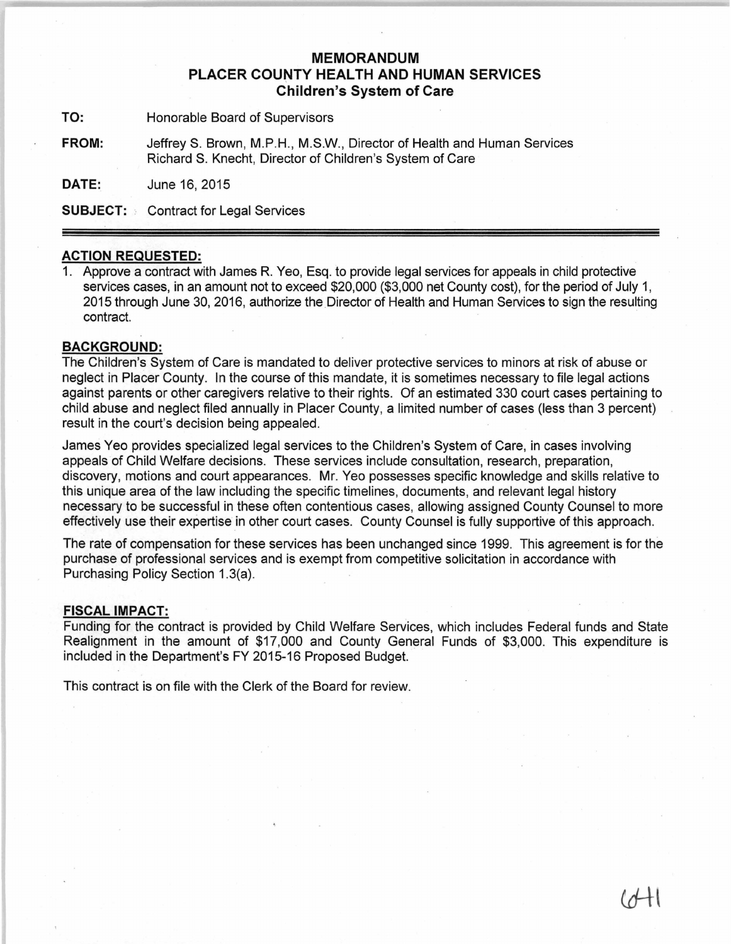## **MEMORANDUM PLACER COUNTY HEALTH AND HUMAN SERVICES Children's System of Care**

**TO:** Honorable Board of Supervisors

**FROM:** JeffreyS. Brown, M.P.H., M.S.W., Director of Health and Human Services Richard S. Knecht, Director of Children's System of Care

**DATE:** June 16, 2015

**SUBJECT:** Contract for Legal Services

## **ACTION REQUESTED:**

1. Approve a contract with James R. Yeo, Esq. to provide legal services for appeals in child protective services cases, in an amount not to exceed \$20,000 (\$3,000 net County cost), for the period of July 1, 2015 through June 30, 2016, authorize the Director of Health and Human Services to sign the resulting contract. contract. And the contract of the contract of the contract of the contract. And the contract of the contract of the contract of the contract of the contract of the contract of the contract of the contract of the contract o

## **BACKGROUND:**

The Children's System of Care is mandated to deliver protective services to minors at risk of abuse or neglect in Placer County. In the course of this mandate, it is sometimes necessary to file legal actions against parents or other caregivers relative to their rights. Of an estimated 330 court cases pertaining to child abuse and neglect filed annually in Placer County, a limited number of cases (less than 3 percent) result in the court's decision being appealed.

James Yeo provides specialized legal services to the Children's System of Care, in cases involving appeals of Child Welfare decisions. These services include consultation, research, preparation, discovery, motions and court appearances. Mr. Yeo possesses specific knowledge and skills relative to this unique area of the law including the specific timelines, documents, and relevant legal history necessary to be successful in these often contentious cases, allowing assigned County Counsel to more effectively use their expertise in other court cases. County Counsel is fully supportive of this approach.

The rate of compensation for these services has been unchanged since 1999. This agreement is for the purchase of professional services and is exempt from competitive solicitation in accordance with Purchasing Policy Section 1.3(a).

## **FISCAL IMPACT:**

Funding for the contract is provided by Child Welfare Services, which includes Federal funds and State Realignment in the amount of \$17,000 and County General Funds of \$3,000. This expenditure is included in the Department's FY 2015-16 Proposed Budget.

This contract is on file with the Clerk of the Board for review.